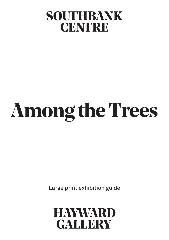# SOUTHBANK CENTRE

# **Among the Trees**

Large print exhibition guide

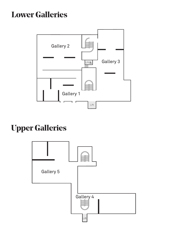# **Lower Galleries**



# **Upper Galleries**

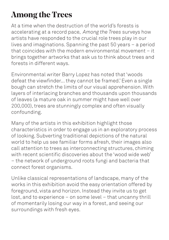# **Among the Trees**

At a time when the destruction of the world's forests is accelerating at a record pace, *Among the Trees* surveys how artists have responded to the crucial role trees play in our lives and imaginations. Spanning the past 50 years – a period that coincides with the modern environmental movement – it brings together artworks that ask us to think about trees and forests in different ways.

Environmental writer Barry Lopez has noted that 'woods defeat the viewfinder... they cannot be framed.' Even a single bough can stretch the limits of our visual apprehension. With layers of interlacing branches and thousands upon thousands of leaves (a mature oak in summer might have well over 200,000), trees are stunningly complex and often visually confounding.

Many of the artists in this exhibition highlight those characteristics in order to engage us in an exploratory process of looking. Subverting traditional depictions of the natural world to help us see familiar forms afresh, their images also call attention to trees as interconnecting structures, chiming with recent scientific discoveries about the 'wood wide web' – the network of underground roots fungi and bacteria that connect forest organisms.

Unlike classical representations of landscape, many of the works in this exhibition avoid the easy orientation offered by foreground, vista and horizon. Instead they invite us to get lost, and to experience – on some level – that uncanny thrill of momentarily losing our way in a forest, and seeing our surroundings with fresh eyes.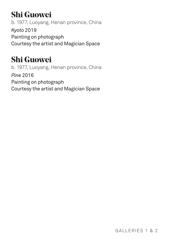# **Shi Guowei**

b. 1977, Luoyang, Henan province, China *Kyoto* 2019 Painting on photograph Courtesy the artist and Magician Space

# **Shi Guowei**

b. 1977, Luoyang, Henan province, China *Pine* 2016 Painting on photograph Courtesy the artist and Magician Space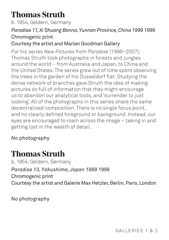# **Thomas Struth**

b. 1954, Geldern, Germany

### *Paradise 11, Xi Shuang Banna, Yunnan Province, China 1999* 1999 Chromogenic print

### Courtesy the artist and Marian Goodman Gallery

For his series *New Pictures from Paradise* (1998–2007), Thomas Struth took photographs in forests and jungles around the world – from Australia and Japan, to China and the United States. The series grew out of time spent observing the trees in the garden of his Düsseldorf flat. Studying the dense network of branches gave Struth the idea of making pictures so full of information that they might encourage us to abandon our analytical tools, and 'surrender to just looking'. All of the photographs in this series share the same decentralised composition. There is no single focus point, and no clearly defined foreground or background. Instead, our eyes are encouraged to roam across the image – taking in and getting lost in the wealth of detail.

### No photography

### **Thomas Struth**

b. 1954, Geldern, Germany *Paradise 13, Yakushima, Japan 1999* 1999 Chromogenic print Courtesy the artist and Galerie Max Hetzler, Berlin, Paris, London

No photography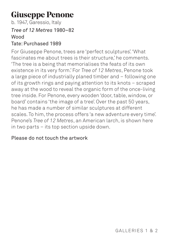# **Giuseppe Penone**

b. 1947, Garessio, Italy

#### *Tree of 12 Metres* 1980–82 Wood

### Tate: Purchased 1989

For Giuseppe Penone, trees are 'perfect sculptures'. 'What fascinates me about trees is their structure,' he comments. 'The tree is a being that memorialises the feats of its own existence in its very form.' For *Tree of 12 Metres*, Penone took a large piece of industrially planed timber and – following one of its growth rings and paying attention to its knots – scraped away at the wood to reveal the organic form of the once-living tree inside. For Penone, every wooden 'door, table, window, or board' contains 'the image of a tree'. Over the past 50 years, he has made a number of similar sculptures at different scales. To him, the process offers 'a new adventure every time'. Penone's *Tree of 12 Metres*, an American larch, is shown here in two parts – its top section upside down.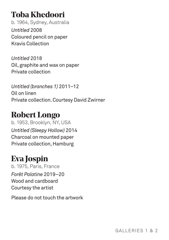# **Toba Khedoori**

b. 1964, Sydney, Australia *Untitled* 2008 Coloured pencil on paper Kravis Collection

*Untitled* 2018 Oil, graphite and wax on paper Private collection

*Untitled (branches 1)* 2011–12 Oil on linen Private collection. Courtesy David Zwirner

### **Robert Longo**

b. 1953, Brooklyn, NY, USA *Untitled (Sleepy Hollow)* 2014 Charcoal on mounted paper Private collection, Hamburg

### **Eva Jospin**

b. 1975, Paris, France *Forêt Palatine* 2019–20 Wood and cardboard Courtesy the artist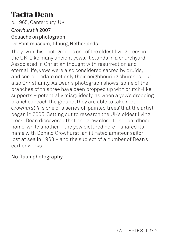# **Tacita Dean**

b. 1965, Canterbury, UK

### *Crowhurst II* 2007

### Gouache on photograph De Pont museum, Tilburg, Netherlands

The yew in this photograph is one of the oldest living trees in the UK. Like many ancient yews, it stands in a churchyard. Associated in Christian thought with resurrection and eternal life, yews were also considered sacred by druids, and some predate not only their neighbouring churches, but also Christianity. As Dean's photograph shows, some of the branches of this tree have been propped up with crutch-like supports – potentially misguidedly, as when a yew's drooping branches reach the ground, they are able to take root. *Crowhurst II* is one of a series of 'painted trees' that the artist began in 2005. Setting out to research the UK's oldest living trees, Dean discovered that one grew close to her childhood home, while another – the yew pictured here – shared its name with Donald Crowhurst, an ill-fated amateur sailor lost at sea in 1968 – and the subject of a number of Dean's earlier works.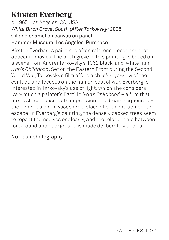# **Kirsten Everberg**

b. 1965, Los Angeles, CA, USA *White Birch Grove*, *South (After Tarkovsky)* 2008 Oil and enamel on canvas on panel Hammer Museum, Los Angeles. Purchase

Kirsten Everberg's paintings often reference locations that appear in movies. The birch grove in this painting is based on a scene from Andrei Tarkovsky's 1962 black-and-white film *Ivan's Childhood*. Set on the Eastern Front during the Second World War, Tarkovsky's film offers a child's-eye-view of the conflict, and focuses on the human cost of war. Everberg is interested in Tarkovsky's use of light, which she considers 'very much a painter's light'. In *Ivan's Childhood* – a film that mixes stark realism with impressionistic dream sequences – the luminous birch woods are a place of both entrapment and escape. In Everberg's painting, the densely packed trees seem to repeat themselves endlessly, and the relationship between foreground and background is made deliberately unclear.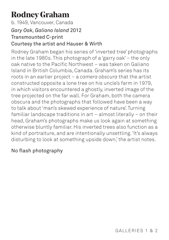# **Rodney Graham**

b. 1949, Vancouver, Canada

#### *Gary Oak, Galiano Island* 2012

#### Transmounted C-print Courtesy the artist and Hauser & Wirth

Rodney Graham began his series of 'inverted tree' photographs in the late 1980s. This photograph of a 'garry oak' – the only oak native to the Pacific Northwest – was taken on Galiano Island in British Columbia, Canada. Graham's series has its roots in an earlier project – a *camera obscura* that the artist constructed opposite a lone tree on his uncle's farm in 1979, in which visitors encountered a ghostly, inverted image of the tree projected on the far wall. For Graham, both the camera obscura and the photographs that followed have been a way to talk about 'man's skewed experience of nature'. Turning familiar landscape traditions in art – almost literally – on their head, Graham's photographs make us look again at something otherwise bluntly familiar. His inverted trees also function as a kind of portraiture, and are intentionally unsettling. 'It's always disturbing to look at something upside down,' the artist notes.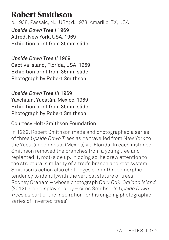## **Robert Smithson**

b. 1938, Passaic, NJ, USA; d. 1973, Amarillo, TX, USA *Upside Down Tree I* 1969 Alfred, New York, USA, 1969 Exhibition print from 35mm slide

*Upside Down Tree II* 1969 Captiva Island, Florida, USA, 1969 Exhibition print from 35mm slide Photograph by Robert Smithson

*Upside Down Tree III* 1969 Yaxchilan, Yucatán, Mexico, 1969 Exhibition print from 35mm slide Photograph by Robert Smithson

### Courtesy Holt/Smithson Foundation

In 1969, Robert Smithson made and photographed a series of three *Upside Down Trees* as he travelled from New York to the Yucatán peninsula (Mexico) via Florida. In each instance, Smithson removed the branches from a young tree and replanted it, root-side up. In doing so, he drew attention to the structural similarity of a tree's branch and root system. Smithson's action also challenges our anthropomorphic tendency to identifywith the vertical stature of trees. Rodney Graham – whose photograph *Gary Oak*, *Galiano Island* (2012) is on display nearby – cites Smithson's *Upside Down Trees* as part of the inspiration for his ongoing photographic series of 'inverted trees'.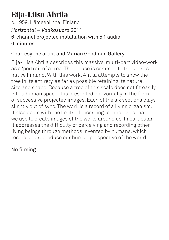# **Eija-Liisa Ahtila**

b. 1959, Hämeenlinna, Finland *Horizontal – Vaakasuora* 2011 6-channel projected installation with 5.1 audio 6 minutes

### Courtesy the artist and Marian Goodman Gallery

Eija-Liisa Ahtila describes this massive, multi-part video-work as a 'portrait of a tree'. The spruce is common to the artist's native Finland. With this work, Ahtila attempts to show the tree in its entirety, as far as possible retaining its natural size and shape. Because a tree of this scale does not fit easily into a human space, it is presented horizontally in the form of successive projected images. Each of the six sections plays slightly out of sync. The work is a record of a living organism. It also deals with the limits of recording technologies that we use to create images of the world around us. In particular, it addresses the difficulty of perceiving and recording other living beings through methods invented by humans, which record and reproduce our human perspective of the world.

### No filming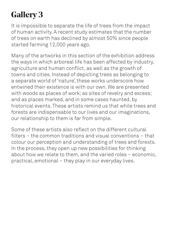# **Gallery 3**

It is impossible to separate the life of trees from the impact of human activity. A recent study estimates that the number of trees on earth has declined by almost 50% since people started farming 12,000 years ago.

Many of the artworks in this section of the exhibition address the ways in which arboreal life has been affected by industry, agriculture and human conflict, as well as the growth of towns and cities. Instead of depicting trees as belonging to a separate world of 'nature', these works underscore how entwined their existence is with our own. We are presented with woods as places of work; as sites of revelry and excess; and as places marked, and in some cases haunted, by historical events. These artists remind us that while trees and forests are indispensable to our lives and our imaginations, our relationship to them is far from simple.

Some of these artists also reflect on the different cultural filters – the common traditions and visual conventions – that colour our perception and understanding of trees and forests. In the process, they open up new possibilities for thinking about how we relate to them, and the varied roles – economic, practical, emotional – they play in our everyday lives.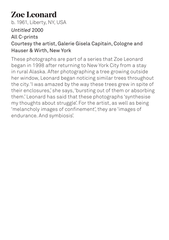# **Zoe Leonard**

b. 1961, Liberty, NY, USA *Untitled* 2000 All C-prints Courtesy the artist, Galerie Gisela Capitain, Cologne and Hauser & Wirth, New York

These photographs are part of a series that Zoe Leonard began in 1998 after returning to New York City from a stay in rural Alaska. After photographing a tree growing outside her window, Leonard began noticing similar trees throughout the city. 'I was amazed by the way these trees grew in spite of their enclosures,' she says, 'bursting out of them or absorbing them.' Leonard has said that these photographs 'synthesise my thoughts about struggle'. For the artist, as well as being 'melancholy images of confinement', they are 'images of endurance. And symbiosis'.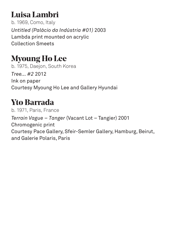# **Luisa Lambri**

b. 1969, Como, Italy *Untitled (Palácio da Indústria #01)* 2003 Lambda print mounted on acrylic Collection Smeets

# **Myoung Ho Lee**

b. 1975, Daejon, South Korea *Tree... #2* 2012 Ink on paper Courtesy Myoung Ho Lee and Gallery Hyundai

### **Yto Barrada**

b. 1971, Paris, France *Terrain Vague – Tanger* (Vacant Lot – Tangier) 2001 Chromogenic print Courtesy Pace Gallery, Sfeir-Semler Gallery, Hamburg, Beirut, and Galerie Polaris, Paris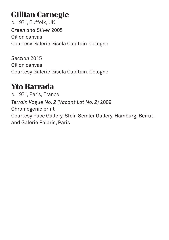# **Gillian Carnegie**

b. 1971, Suffolk, UK *Green and Silver* 2005 Oil on canvas Courtesy Galerie Gisela Capitain, Cologne

*Section* 2015 Oil on canvas Courtesy Galerie Gisela Capitain, Cologne

### **Yto Barrada**

b. 1971, Paris, France *Terrain Vague No. 2 (Vacant Lot No. 2)* 2009 Chromogenic print Courtesy Pace Gallery, Sfeir-Semler Gallery, Hamburg, Beirut, and Galerie Polaris, Paris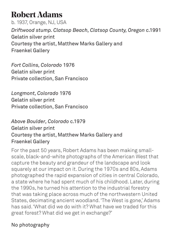# **Robert Adams**

b. 1937, Orange, NJ, USA *Driftwood stump. Clatsop Beach, Clatsop County, Oregon* c.1991 Gelatin silver print Courtesy the artist, Matthew Marks Gallery and Fraenkel Gallery

*Fort Collins, Colorado* 1976 Gelatin silver print Private collection, San Francisco

*Longmont, Colorado* 1976 Gelatin silver print Private collection, San Francisco

### *Above Boulder, Colorado* c.1979 Gelatin silver print Courtesy the artist, Matthew Marks Gallery and Fraenkel Gallery

For the past 50 years, Robert Adams has been making smallscale, black-and-white photographs of the American West that capture the beauty and grandeur of the landscape and look squarely at our impact on it. During the 1970s and 80s, Adams photographed the rapid expansion of cities in central Colorado, a state where he had spent much of his childhood. Later, during the 1990s, he turned his attention to the industrial forestry that was taking place across much of the northwestern United States, decimating ancient woodland. 'The West is gone,' Adams has said. 'What did we do with it? What have we traded for this great forest? What did we get in exchange?'

### No photography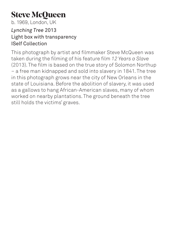# **Steve McQueen**

b. 1969, London, UK

#### *Lynching Tree* 2013 Light box with transparency ISelf Collection

This photograph by artist and filmmaker Steve McQueen was taken during the filming of his feature film *12 Years a Slave* (2013). The film is based on the true story of Solomon Northup – a free man kidnapped and sold into slavery in 1841. The tree in this photograph grows near the city of New Orleans in the state of Louisiana. Before the abolition of slavery, it was used as a gallows to hang African-American slaves, many of whom worked on nearby plantations. The ground beneath the tree still holds the victims' graves.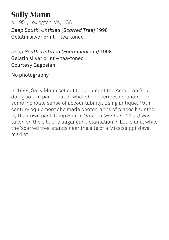### **Sally Mann** b. 1951, Lexington, VA, USA *Deep South, Untitled (Scarred Tree)* 1998 Gelatin silver print – tea-toned

*Deep South, Untitled (Fontainebleau)* 1998 Gelatin silver print – tea-toned Courtesy Gagosian

No photography

In 1998, Sally Mann set out to document the American South, doing so – in part – out of what she describes as 'shame, and some inchoate sense of accountability'. Using antique, 19thcentury equipment she made photographs of places haunted by their own past. Deep South, *Untitled (Fontainebleau)* was taken on the site of a sugar cane plantation in Louisiana, while the 'scarred tree' stands near the site of a Mississippi slave market.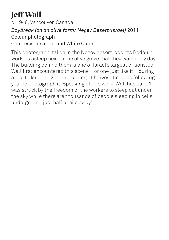# **Jeff Wall**

b. 1946, Vancouver, Canada

### *Daybreak (on an olive farm/ Negev Desert/Israel)* 2011 Colour photograph

### Courtesy the artist and White Cube

This photograph, taken in the Negev desert, depicts Bedouin workers asleep next to the olive grove that they work in by day. The building behind them is one of Israel's largest prisons. Jeff Wall first encountered this scene - or one just like it - during a trip to Israel in 2010, returning at harvest time the following year to photograph it. Speaking of this work, Wall has said: 'I was struck by the freedom of the workers to sleep out under the sky while there are thousands of people sleeping in cells underground just half a mile away.'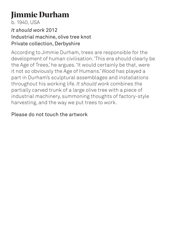# **Jimmie Durham**

b. 1940, USA

### *It should work* 2012 Industrial machine, olive tree knot Private collection, Derbyshire

According to Jimmie Durham, trees are responsible for the development of human civilisation. 'This era should clearly be the Age of Trees,' he argues. 'It would certainly be that, were it not so obviously the Age of Humans.' Wood has played a part in Durham's sculptural assemblages and installations throughout his working life. *It should work* combines the partially carved trunk of a large olive tree with a piece of industrial machinery, summoning thoughts of factory-style harvesting, and the way we put trees to work.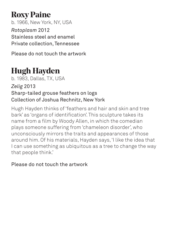# **Roxy Paine**

b. 1966, New York, NY, USA *Rotoplasm* 2012 Stainless steel and enamel Private collection, Tennessee

Please do not touch the artwork

# **Hugh Hayden**

b. 1983, Dallas, TX, USA

### *Zelig* 2013 Sharp-tailed grouse feathers on logs Collection of Joshua Rechnitz, New York

Hugh Hayden thinks of 'feathers and hair and skin and tree bark' as 'organs of identification'. This sculpture takes its name from a film by Woody Allen, in which the comedian plays someone suffering from 'chameleon disorder', who unconsciously mirrors the traits and appearances of those around him. Of his materials, Hayden says, 'I like the idea that I can use something as ubiquitous as a tree to change the way that people think.'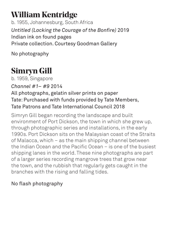# **William Kentridge**

b. 1955, Johannesburg, South Africa *Untitled (Lacking the Courage of the Bonfire)* 2019 Indian ink on found pages Private collection. Courtesy Goodman Gallery

No photography

# **Simryn Gill**

b. 1959, Singapore

*Channel #1– #9* 2014

### All photographs, gelatin silver prints on paper Tate: Purchased with funds provided by Tate Members, Tate Patrons and Tate International Council 2018

Simryn Gill began recording the landscape and built environment of Port Dickson, the town in which she grew up, through photographic series and installations, in the early 1990s. Port Dickson sits on the Malaysian coast of the Straits of Malacca, which – as the main shipping channel between the Indian Ocean and the Pacific Ocean – is one of the busiest shipping lanes in the world. These nine photographs are part of a larger series recording mangrove trees that grow near the town, and the rubbish that regularly gets caught in the branches with the rising and falling tides.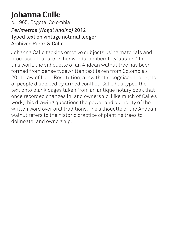# **Johanna Calle**

### b. 1965, Bogotá, Colombia *Perímetros (Nogal Andino)* 2012 Typed text on vintage notarial ledger Archivos Pérez & Calle

Johanna Calle tackles emotive subjects using materials and processes that are, in her words, deliberately 'austere'. In this work, the silhouette of an Andean walnut tree has been formed from dense typewritten text taken from Colombia's 2011 Law of Land Restitution, a law that recognises the rights of people displaced by armed conflict. Calle has typed the text onto blank pages taken from an antique notary book that once recorded changes in land ownership. Like much of Calle's work, this drawing questions the power and authority of the written word over oral traditions. The silhouette of the Andean walnut refers to the historic practice of planting trees to delineate land ownership.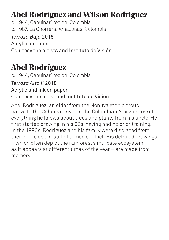# **Abel Rodríguez and Wilson Rodríguez**

b. 1944, Cahuinarí region, Colombia b. 1987, La Chorrera, Amazonas, Colombia

*Terraza Baja* 2018 Acrylic on paper Courtesy the artists and Instituto de Visión

# **Abel Rodríguez**

b. 1944, Cahuinarí region, Colombia

*Terraza Alta II* 2018

Acrylic and ink on paper

### Courtesy the artist and Instituto de Visión

Abel Rodríguez, an elder from the Nonuya ethnic group, native to the Cahuinarí river in the Colombian Amazon, learnt everything he knows about trees and plants from his uncle. He first started drawing in his 60s, having had no prior training. In the 1990s, Rodriguez and his family were displaced from their home as a result of armed conflict. His detailed drawings – which often depict the rainforest's intricate ecosystem as it appears at different times of the year – are made from memory.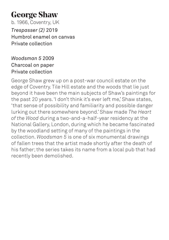# **George Shaw**

b. 1966, Coventry, UK *Trespasser (2)* 2019 Humbrol enamel on canvas Private collection

### *Woodsman 5* 2009 Charcoal on paper Private collection

George Shaw grew up on a post-war council estate on the edge of Coventry. Tile Hill estate and the woods that lie just beyond it have been the main subjects of Shaw's paintings for the past 20 years. 'I don't think it's ever left me,' Shaw states, 'that sense of possibility and familiarity and possible danger lurking out there somewhere beyond.' Shaw made *The Heart of the Wood* during a two-and-a-half-year residency at the National Gallery, London, during which he became fascinated by the woodland setting of many of the paintings in the collection. *Woodsman 5* is one of six monumental drawings of fallen trees that the artist made shortly after the death of his father; the series takes its name from a local pub that had recently been demolished.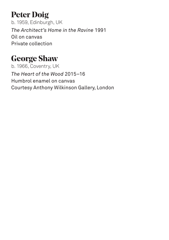# **Peter Doig**

b. 1959, Edinburgh, UK *The Architect's Home in the Ravine* 1991 Oil on canvas Private collection

# **George Shaw**

b. 1966, Coventry, UK *The Heart of the Wood* 2015–16 Humbrol enamel on canvas Courtesy Anthony Wilkinson Gallery, London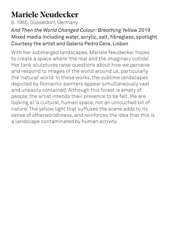# **Mariele Neudecker**

b. 1965, Düsseldorf, Germany

### *And Then the World Changed Colour: Breathing Yellow* 2019 Mixed media including water, acrylic, salt, fibreglass, spotlight Courtesy the artist and Galeria Pedro Cera, Lisbon

With her submerged landscapes, Mariele Neudecker hopes to create a space where 'the real and the imaginary collide'. Her tank sculptures raise questions about how we perceive and respond to images of the world around us, particularly the 'natural' world. In these works, the sublime landscapes depicted by Romantic painters appear simultaneously vast and uneasily contained. Although this forest is empty of people, the artist intends their presence to be felt. We are looking at 'a cultural, human space, not an untouched bit of nature'. The yellow light that suffuses the scene adds to its sense of otherworldliness, and reinforces the idea that this is a landscape contaminated by human activity.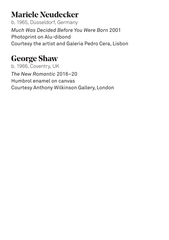# **Mariele Neudecker**

b. 1965, Düsseldorf, Germany *Much Was Decided Before You Were Born* 2001 Photoprint on Alu-dibond Courtesy the artist and Galeria Pedro Cera, Lisbon

# **George Shaw**

b. 1966, Coventry, UK *The New Romantic* 2016–20 Humbrol enamel on canvas Courtesy Anthony Wilkinson Gallery, London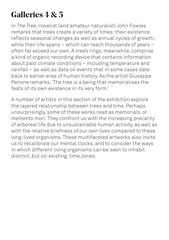# **Galleries 4 & 5**

In *The Tree*, novelist (and amateur naturalist) John Fowles remarks that trees create a variety of times: their existence reflects seasonal changes as well as annual cycles of growth, while their life spans – which can reach thousands of years – often far exceed our own. A tree's rings, meanwhile, comprise a kind of organic recording device that contains information about past climate conditions – including temperature and rainfall – as well as data on events that in some cases date back to earlier eras of human history. As the artist Giuseppe Penone remarks, 'The tree is a being that memorialises the feats of its own existence in its very form.'

A number of artists in this section of the exhibition explore the layered relationship between trees and time. Perhaps unsurprisingly, some of these works read as memorials, or *memento mori*. They confront us with the increasing precarity of arboreal life due to unsustainable human activity, as well as with the relative briefness of our own lives compared to these long-lived organisms. These multifaceted artworks also invite us to recalibrate our mental clocks, and to consider the ways in which different living organisms can be seen to inhabit distinct, but co-existing, time zones.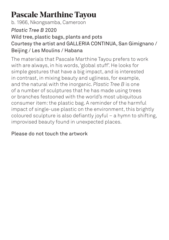# **Pascale Marthine Tayou**

b. 1966, Nkongsamba, Cameroon

### *Plastic Tree B* 2020

### Wild tree, plastic bags, plants and pots Courtesy the artist and GALLERIA CONTINUA, San Gimignano / Beijing / Les Moulins / Habana

The materials that Pascale Marthine Tayou prefers to work with are always, in his words, 'global stuff'. He looks for simple gestures that have a big impact, and is interested in contrast, in mixing beauty and ugliness, for example, and the natural with the inorganic. *Plastic Tree B* is one of a number of sculptures that he has made using trees or branches festooned with the world's most ubiquitous consumer item: the plastic bag. A reminder of the harmful impact of single-use plastic on the environment, this brightly coloured sculpture is also defiantly joyful – a hymn to shifting, improvised beauty found in unexpected places.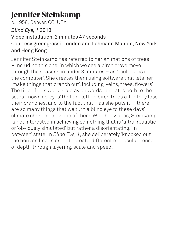# **Jennifer Steinkamp**

b. 1958, Denver, CO, USA

### *Blind Eye, 1* 2018

### Video installation, 2 minutes 47 seconds Courtesy greengrassi, London and Lehmann Maupin, New York and Hong Kong

Jennifer Steinkamp has referred to her animations of trees – including this one, in which we see a birch grove move through the seasons in under 3 minutes – as 'sculptures in the computer'. She creates them using software that lets her 'make things that branch out', including 'veins, trees, flowers'. The title of this work is a play on words. It relates both to the scars known as 'eyes' that are left on birch trees after they lose their branches, and to the fact that  $-$  as she puts it  $-$  'there are so many things that we turn a blind eye to these days', climate change being one of them. With her videos, Steinkamp is not interested in achieving something that is 'ultra-realistic' or 'obviously simulated' but rather a disorientating, 'inbetween' state. In *Blind Eye, 1*, she deliberately 'knocked out the horizon line' in order to create 'different monocular sense of depth' through layering, scale and speed.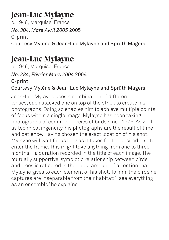# **Jean-Luc Mylayne**

b. 1946, Marquise, France *No. 304, Mars Avril 2005* 2005 C-print Courtesy Mylène & Jean-Luc Mylayne and Sprüth Magers

# **Jean-Luc Mylayne**

b. 1946, Marquise, France *No. 284, Février Mars 2004* 2004 C-print

### Courtesy Mylène & Jean-Luc Mylayne and Sprüth Magers

Jean-Luc Mylayne uses a combination of different lenses, each stacked one on top of the other, to create his photographs. Doing so enables him to achieve multiple points of focus within a single image. Mylayne has been taking photographs of common species of birds since 1976. As well as technical ingenuity, his photographs are the result of time and patience. Having chosen the exact location of his shot, Mylayne will wait for as long as it takes for the desired bird to enter the frame. This might take anything from one to three months – a duration recorded in the title of each image. The mutually supportive, symbiotic relationship between birds and trees is reflected in the equal amount of attention that Mylayne gives to each element of his shot. To him, the birds he captures are inseparable from their habitat: 'I see everything as an ensemble,' he explains.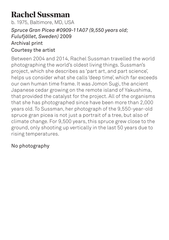# **Rachel Sussman**

b. 1975, Baltimore, MD, USA *Spruce Gran Picea #0909-11A07 (9,550 years old; Fulufjället, Sweden)* 2009 Archival print Courtesy the artist

Between 2004 and 2014, Rachel Sussman travelled the world photographing the world's oldest living things. Sussman's project, which she describes as 'part art, and part science', helps us consider what she calls 'deep time', which far exceeds our own human time frame. It was Jomon Sugi, the ancient Japanese cedar growing on the remote island of Yakushima, that provided the catalyst for the project. All of the organisms that she has photographed since have been more than 2,000 years old. To Sussman, her photograph of the 9,550-year-old spruce gran picea is not just a portrait of a tree, but also of climate change. For 9,500 years, this spruce grew close to the ground, only shooting up vertically in the last 50 years due to rising temperatures.

### No photography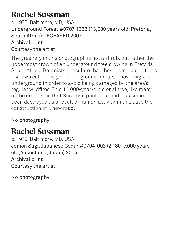# **Rachel Sussman**

### b. 1975, Baltimore, MD, USA Underground Forest #0707-1333 (13,000 years old; Pretoria, South Africa) DECEASED 2007 Archival print Courtesy the artist

The greenery in this photograph is not a shrub, but rather the uppermost crown of an underground tree growing in Pretoria, South Africa. Botanists speculate that these remarkable trees – known collectively as underground forests – have migrated underground in order to avoid being damaged by the area's regular wildfires. This 13,000-year-old clonal tree, like many of the organisms that Sussman photographed, has since been destroyed as a result of human activity, in this case the construction of a new road.

No photography

# **Rachel Sussman**

b. 1975, Baltimore, MD, USA Jomon Sugi, Japanese Cedar #0704-002 (2,180–7,000 years old; Yakushima, Japan) 2004 Archival print Courtesy the artist

No photography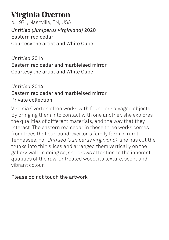# **Virginia Overton**

b. 1971, Nashville, TN, USA *Untitled (Juniperus virginiana)* 2020 Eastern red cedar Courtesy the artist and White Cube

*Untitled* 2014 Eastern red cedar and marbleised mirror Courtesy the artist and White Cube

### *Untitled* 2014 Eastern red cedar and marbleised mirror Private collection

Virginia Overton often works with found or salvaged objects. By bringing them into contact with one another, she explores the qualities of different materials, and the way that they interact. The eastern red cedar in these three works comes from trees that surround Overton's family farm in rural Tennessee. For *Untitled (Juniperus virginiana)*, she has cut the trunks into thin slices and arranged them vertically on the gallery wall. In doing so, she draws attention to the inherent qualities of the raw, untreated wood: its texture, scent and vibrant colour.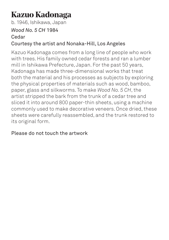# **Kazuo Kadonaga**

b. 1946, Ishikawa, Japan

#### *Wood No. 5 CH* 1984 Cedar

### Courtesy the artist and Nonaka-Hill, Los Angeles

Kazuo Kadonaga comes from a long line of people who work with trees. His family owned cedar forests and ran a lumber mill in Ishikawa Prefecture, Japan. For the past 50 years, Kadonaga has made three-dimensional works that treat both the material and his processes as subjects by exploring the physical properties of materials such as wood, bamboo, paper, glass and silkworms. To make *Wood No. 5 CH*, the artist stripped the bark from the trunk of a cedar tree and sliced it into around 800 paper-thin sheets, using a machine commonly used to make decorative veneers. Once dried, these sheets were carefully reassembled, and the trunk restored to its original form.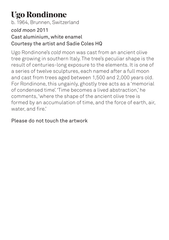# **Ugo Rondinone**

b. 1964, Brunnen, Switzerland

### *cold moon* 2011

### Cast aluminium, white enamel Courtesy the artist and Sadie Coles HQ

Ugo Rondinone's *cold moon* was cast from an ancient olive tree growing in southern Italy. The tree's peculiar shape is the result of centuries-long exposure to the elements. It is one of a series of twelve sculptures, each named after a full moon and cast from trees aged between 1,500 and 2,000 years old. For Rondinone, this ungainly, ghostly tree acts as a 'memorial of condensed time'. 'Time becomes a lived abstraction,' he comments, 'where the shape of the ancient olive tree is formed by an accumulation of time, and the force of earth, air, water, and fire.'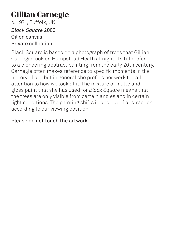# **Gillian Carnegie**

b. 1971, Suffolk, UK *Black Square* 2003 Oil on canvas Private collection

Black Square is based on a photograph of trees that Gillian Carnegie took on Hampstead Heath at night. Its title refers to a pioneering abstract painting from the early 20th century. Carnegie often makes reference to specific moments in the history of art, but in general she prefers her work to call attention to how we look at it. The mixture of matte and gloss paint that she has used for *Black Square* means that the trees are only visible from certain angles and in certain light conditions. The painting shifts in and out of abstraction according to our viewing position.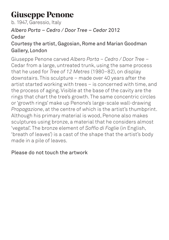# **Giuseppe Penone**

b. 1947, Garessio, Italy

### *Albero Porta – Cedro / Door Tree – Cedar* 2012 Cedar

### Courtesy the artist, Gagosian, Rome and Marian Goodman Gallery, London

Giuseppe Penone carved *Albero Porta – Cedro / Door Tree* – Cedar from a large, untreated trunk, using the same process that he used for *Tree of 12 Metres* (1980–82), on display downstairs. This sculpture – made over 40 years after the artist started working with trees – is concerned with time, and the process of aging. Visible at the base of the cavity are the rings that chart the tree's growth. The same concentric circles or 'growth rings' make up Penone's large-scale wall-drawing *Propagazione*, at the centre of which is the artist's thumbprint. Although his primary material is wood, Penone also makes sculptures using bronze, a material that he considers almost 'vegetal'. The bronze element of *Soffio di Foglie* (in English, 'breath of leaves') is a cast of the shape that the artist's body made in a pile of leaves.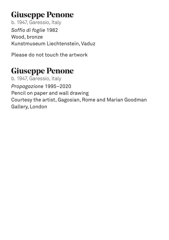# **Giuseppe Penone**

b. 1947, Garessio, Italy *Soffio di foglie* 1982 Wood, bronze Kunstmuseum Liechtenstein, Vaduz

Please do not touch the artwork

# **Giuseppe Penone**

b. 1947, Garessio, Italy *Propagazione* 1995–2020 Pencil on paper and wall drawing Courtesy the artist, Gagosian, Rome and Marian Goodman Gallery, London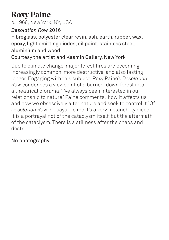# **Roxy Paine**

b. 1966, New York, NY, USA

### *Desolation Row* 2016

### Fibreglass, polyester clear resin, ash, earth, rubber, wax, epoxy, light emitting diodes, oil paint, stainless steel, aluminium and wood

### Courtesy the artist and Kasmin Gallery, New York

Due to climate change, major forest fires are becoming increasingly common, more destructive, and also lasting longer. Engaging with this subject, Roxy Paine's *Desolation Row* condenses a viewpoint of a burned-down forest into a theatrical diorama. 'I've always been interested in our relationship to nature,' Paine comments, 'how it affects us and how we obsessively alter nature and seek to control it.' Of *Desolation Row*, he says: 'To me it's a very melancholy piece. It is a portrayal not of the cataclysm itself, but the aftermath of the cataclysm. There is a stillness after the chaos and destruction.'

### No photography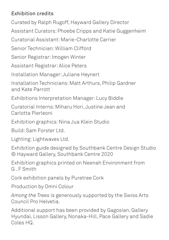### Exhibition credits

Curated by Ralph Rugoff, Hayward Gallery Director

Assistant Curators: Phoebe Cripps and Katie Guggenheim

Curatorial Assistant: Marie-Charlotte Carrier

Senior Technician: William Clifford

Senior Registrar: Imogen Winter

Assistant Registrar: Alice Peters

Installation Manager: Juliane Heynert

Installation Technicians: Matt Arthurs, Philip Gardner and Kate Parrott

Exhibitions Interpretation Manager: Lucy Biddle

Curatorial Interns: Miharu Hori, Justine Jean and Carlotta Pierleoni

Exhibition graphics: Nina Jua Klein Studio

Build: Sam Forster Ltd.

Lighting: Lightwaves Ltd.

Exhibition guide designed by Southbank Centre Design Studio © Hayward Gallery, Southbank Centre 2020

Exhibition graphics printed on Neenah Environment from G . F Smith

Cork exhibition panels by Puretree Cork

Production by Omni Colour

*Among the Trees* is generously supported by the Swiss Arts Council Pro Helvetia.

Additional support has been provided by Gagosian, Gallery Hyundai, Lisson Gallery, Nonaka-Hill, Pace Gallery and Sadie Coles HQ.